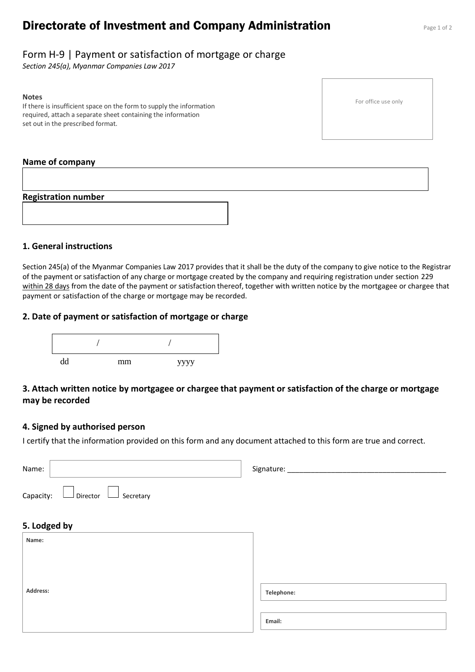# **Directorate of Investment and Company Administration** Page 1 of 2

# Form H-9 | Payment or satisfaction of mortgage or charge

*Section 245(a), Myanmar Companies Law 2017*

#### **Notes**

If there is insufficient space on the form to supply the information required, attach a separate sheet containing the information set out in the prescribed format.

#### **Name of company**

**Registration number**

### **1. General instructions**

Section 245(a) of the Myanmar Companies Law 2017 provides that it shall be the duty of the company to give notice to the Registrar of the payment or satisfaction of any charge or mortgage created by the company and requiring registration under section 229 within 28 days from the date of the payment or satisfaction thereof, together with written notice by the mortgagee or chargee that payment or satisfaction of the charge or mortgage may be recorded.

### **2. Date of payment or satisfaction of mortgage or charge**



## **3. Attach written notice by mortgagee or chargee that payment or satisfaction of the charge or mortgage may be recorded**

### **4. Signed by authorised person**

I certify that the information provided on this form and any document attached to this form are true and correct.

| Name:                                            | Signature: ____ |
|--------------------------------------------------|-----------------|
| $\Box$ Director $\Box$<br>Capacity:<br>Secretary |                 |
| 5. Lodged by                                     |                 |
| Name:                                            |                 |
|                                                  |                 |
|                                                  |                 |
| Address:                                         | Telephone:      |
|                                                  | Email:          |

For office use only